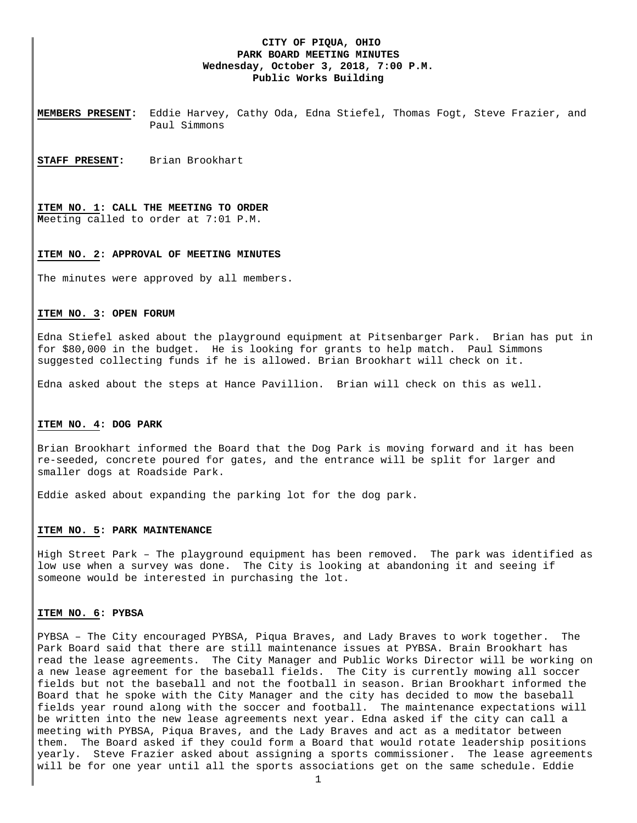## **CITY OF PIQUA, OHIO PARK BOARD MEETING MINUTES Wednesday, October 3, 2018, 7:00 P.M. Public Works Building**

**MEMBERS PRESENT:** Eddie Harvey, Cathy Oda, Edna Stiefel, Thomas Fogt, Steve Frazier, and Paul Simmons

**STAFF PRESENT:** Brian Brookhart

**ITEM NO. 1: CALL THE MEETING TO ORDER M**eeting called to order at 7:01 P.M.

#### **ITEM NO. 2: APPROVAL OF MEETING MINUTES**

The minutes were approved by all members.

### **ITEM NO. 3: OPEN FORUM**

Edna Stiefel asked about the playground equipment at Pitsenbarger Park. Brian has put in for \$80,000 in the budget. He is looking for grants to help match. Paul Simmons suggested collecting funds if he is allowed. Brian Brookhart will check on it.

Edna asked about the steps at Hance Pavillion. Brian will check on this as well.

#### **ITEM NO. 4: DOG PARK**

Brian Brookhart informed the Board that the Dog Park is moving forward and it has been re-seeded, concrete poured for gates, and the entrance will be split for larger and smaller dogs at Roadside Park.

Eddie asked about expanding the parking lot for the dog park.

### **ITEM NO. 5: PARK MAINTENANCE**

High Street Park – The playground equipment has been removed. The park was identified as low use when a survey was done. The City is looking at abandoning it and seeing if someone would be interested in purchasing the lot.

#### **ITEM NO. 6: PYBSA**

PYBSA – The City encouraged PYBSA, Piqua Braves, and Lady Braves to work together. The Park Board said that there are still maintenance issues at PYBSA. Brain Brookhart has read the lease agreements. The City Manager and Public Works Director will be working on a new lease agreement for the baseball fields. The City is currently mowing all soccer fields but not the baseball and not the football in season. Brian Brookhart informed the Board that he spoke with the City Manager and the city has decided to mow the baseball fields year round along with the soccer and football. The maintenance expectations will be written into the new lease agreements next year. Edna asked if the city can call a meeting with PYBSA, Piqua Braves, and the Lady Braves and act as a meditator between them. The Board asked if they could form a Board that would rotate leadership positions yearly. Steve Frazier asked about assigning a sports commissioner. The lease agreements will be for one year until all the sports associations get on the same schedule. Eddie